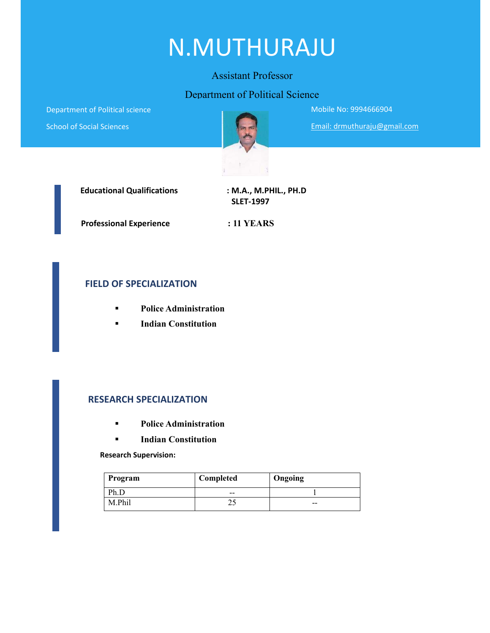# N.MUTHURAJU

#### Assistant Professor

#### Department of Political Science

Department of Political science

School of Social Sciences



Mobile No: 9994666904

Email: drmuthuraju@gmail.com



 **SLET‐1997**

 **Professional Experience : 11 YEARS**

#### **FIELD OF SPECIALIZATION**

- **Police Administration**
- **Indian Constitution**

#### **RESEARCH SPECIALIZATION**

- **Police Administration**
- **Indian Constitution**

 **Research Supervision:**

| Program | Completed | Ongoing |
|---------|-----------|---------|
|         | $- -$     |         |
| M.Phil  |           | $- -$   |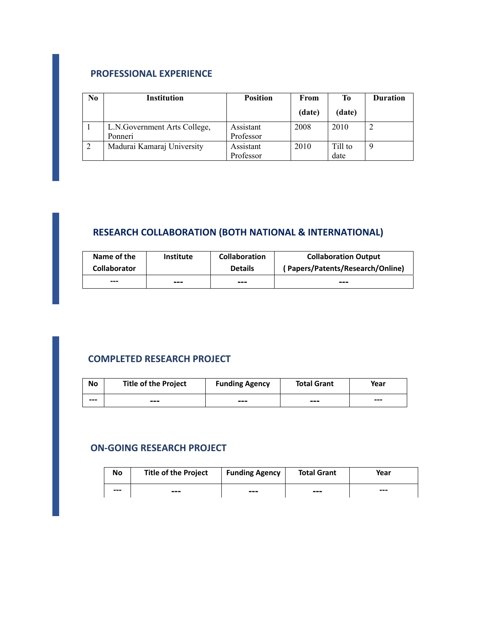#### **PROFESSIONAL EXPERIENCE**

| N <sub>0</sub> | <b>Institution</b>                       | <b>Position</b>        | From   | Тo              | <b>Duration</b> |
|----------------|------------------------------------------|------------------------|--------|-----------------|-----------------|
|                |                                          |                        | (date) | (date)          |                 |
|                | L.N. Government Arts College,<br>Ponneri | Assistant<br>Professor | 2008   | 2010            |                 |
|                | Madurai Kamaraj University               | Assistant<br>Professor | 2010   | Till to<br>date |                 |

# **RESEARCH COLLABORATION (BOTH NATIONAL & INTERNATIONAL)**

| Name of the         | <b>Institute</b> | <b>Collaboration</b> | <b>Collaboration Output</b>      |
|---------------------|------------------|----------------------|----------------------------------|
| <b>Collaborator</b> |                  | <b>Details</b>       | (Papers/Patents/Research/Online) |
| ---                 | ---              | ---                  | ---                              |

# **COMPLETED RESEARCH PROJECT**

| No  | <b>Title of the Project</b> | <b>Funding Agency</b> | <b>Total Grant</b> | Year |
|-----|-----------------------------|-----------------------|--------------------|------|
| --- | ---                         | ---                   | $- - -$            | $--$ |

#### **ON‐GOING RESEARCH PROJECT**

| No   | <b>Title of the Project</b> | <b>Funding Agency</b> | <b>Total Grant</b> | Year |
|------|-----------------------------|-----------------------|--------------------|------|
| $--$ | $- - -$                     | ---                   | ---                | $--$ |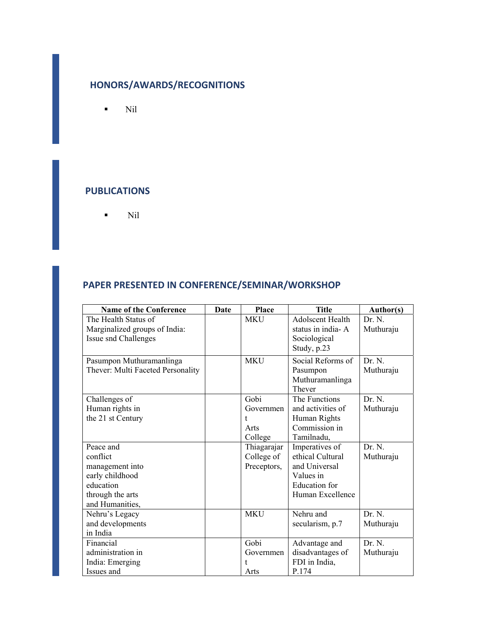# **HONORS/AWARDS/RECOGNITIONS**

 $\blacksquare$  Nil

#### **PUBLICATIONS**

 $\blacksquare$  Nil

### **PAPER PRESENTED IN CONFERENCE/SEMINAR/WORKSHOP**

| <b>Name of the Conference</b>     | <b>Date</b> | Place       | <b>Title</b>            | Author(s) |
|-----------------------------------|-------------|-------------|-------------------------|-----------|
| The Health Status of              |             | <b>MKU</b>  | <b>Adolscent Health</b> | Dr. N.    |
| Marginalized groups of India:     |             |             | status in india-A       | Muthuraju |
| Issue snd Challenges              |             |             | Sociological            |           |
|                                   |             |             | Study, p.23             |           |
| Pasumpon Muthuramanlinga          |             | <b>MKU</b>  | Social Reforms of       | Dr. N.    |
| Thever: Multi Faceted Personality |             |             | Pasumpon                | Muthuraju |
|                                   |             |             | Muthuramanlinga         |           |
|                                   |             |             | Thever                  |           |
| Challenges of                     |             | Gobi        | The Functions           | Dr. N.    |
| Human rights in                   |             | Governmen   | and activities of       | Muthuraju |
| the 21 st Century                 |             | t.          | Human Rights            |           |
|                                   |             | Arts        | Commission in           |           |
|                                   |             | College     | Tamilnadu,              |           |
| Peace and                         |             | Thiagarajar | Imperatives of          | Dr. N.    |
| conflict                          |             | College of  | ethical Cultural        | Muthuraju |
| management into                   |             | Preceptors, | and Universal           |           |
| early childhood                   |             |             | Values in               |           |
| education                         |             |             | <b>Education</b> for    |           |
| through the arts                  |             |             | Human Excellence        |           |
| and Humanities,                   |             |             |                         |           |
| Nehru's Legacy                    |             | <b>MKU</b>  | Nehru and               | Dr. N.    |
| and developments                  |             |             | secularism, p.7         | Muthuraju |
| in India                          |             |             |                         |           |
| Financial                         |             | Gobi        | Advantage and           | Dr. N.    |
| administration in                 |             | Governmen   | disadvantages of        | Muthuraju |
| India: Emerging                   |             |             | FDI in India,           |           |
| Issues and                        |             | Arts        | P.174                   |           |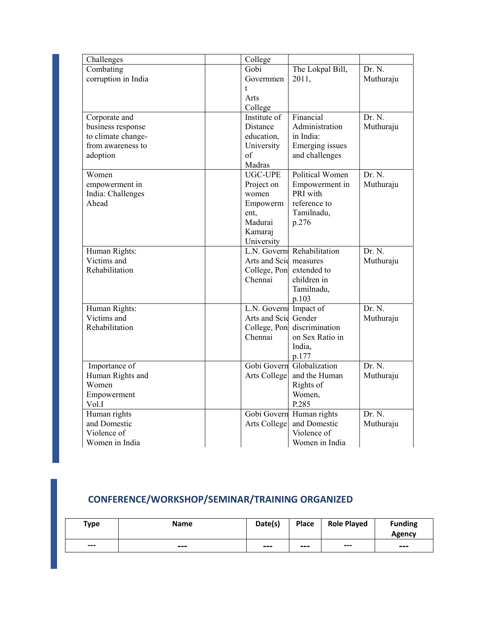| Challenges          | College                  |                  |           |
|---------------------|--------------------------|------------------|-----------|
| Combating           | Gobi                     | The Lokpal Bill, | Dr. N.    |
| corruption in India | Governmen                | 2011,            | Muthuraju |
|                     | t.                       |                  |           |
|                     | Arts                     |                  |           |
|                     | College                  |                  |           |
| Corporate and       | Institute of             | Financial        | Dr. N.    |
| business response   | Distance                 | Administration   | Muthuraju |
| to climate change-  | education,               | in India:        |           |
| from awareness to   | University               | Emerging issues  |           |
| adoption            | of                       | and challenges   |           |
|                     | Madras                   |                  |           |
| Women               | <b>UGC-UPE</b>           | Political Women  | Dr. N.    |
| empowerment in      | Project on               | Empowerment in   | Muthuraju |
| India: Challenges   | women                    | PRI with         |           |
| Ahead               | Empowerm                 | reference to     |           |
|                     | ent.                     | Tamilnadu,       |           |
|                     | Madurai                  | p.276            |           |
|                     | Kamaraj                  |                  |           |
|                     | University               |                  |           |
| Human Rights:       | L.N. Governi             | Rehabilitation   | Dr. N.    |
| Victims and         | Arts and Scid measures   |                  | Muthuraju |
| Rehabilitation      | College, Pon extended to |                  |           |
|                     | Chennai                  | children in      |           |
|                     |                          | Tamilnadu,       |           |
|                     |                          | p.103            |           |
| Human Rights:       | L.N. Govern Impact of    |                  | Dr. N.    |
| Victims and         | Arts and Scie            | Gender           | Muthuraju |
| Rehabilitation      | College, Pon             | discrimination   |           |
|                     | Chennai                  | on Sex Ratio in  |           |
|                     |                          | India,           |           |
|                     |                          | p.177            |           |
| Importance of       | Gobi Govern              | Globalization    | Dr. N.    |
| Human Rights and    | Arts College             | and the Human    | Muthuraju |
| Women               |                          | Rights of        |           |
| Empowerment         |                          | Women,           |           |
| Vol.I               |                          | P.285            |           |
| Human rights        | Gobi Govern              | Human rights     | Dr. N.    |
| and Domestic        | Arts College             | and Domestic     | Muthuraju |
| Violence of         |                          | Violence of      |           |
| Women in India      |                          | Women in India   |           |

# **CONFERENCE/WORKSHOP/SEMINAR/TRAINING ORGANIZED**

| <b>Type</b> | <b>Name</b> | Date(s) | Place | <b>Role Played</b> | <b>Funding</b><br>Agency |
|-------------|-------------|---------|-------|--------------------|--------------------------|
| $---$       | $- - -$     | $- - -$ | $---$ | $--$               | $- - -$                  |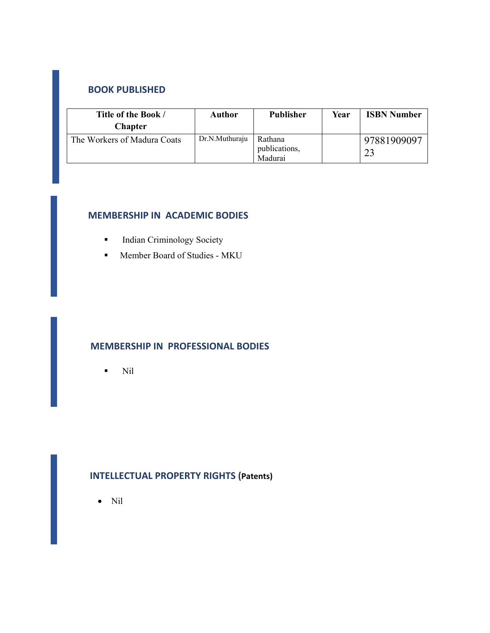#### **BOOK PUBLISHED**

| Title of the Book /<br><b>Chapter</b> | Author         | <b>Publisher</b>                    | Year | <b>ISBN Number</b> |
|---------------------------------------|----------------|-------------------------------------|------|--------------------|
| The Workers of Madura Coats           | Dr.N.Muthuraju | Rathana<br>publications,<br>Madurai |      | 97881909097<br>23  |

## **MEMBERSHIP IN ACADEMIC BODIES**

- **Indian Criminology Society**
- **Member Board of Studies MKU**

#### **MEMBERSHIP IN PROFESSIONAL BODIES**

 $\blacksquare$  Nil

# **INTELLECTUAL PROPERTY RIGHTS (Patents)**

Nil